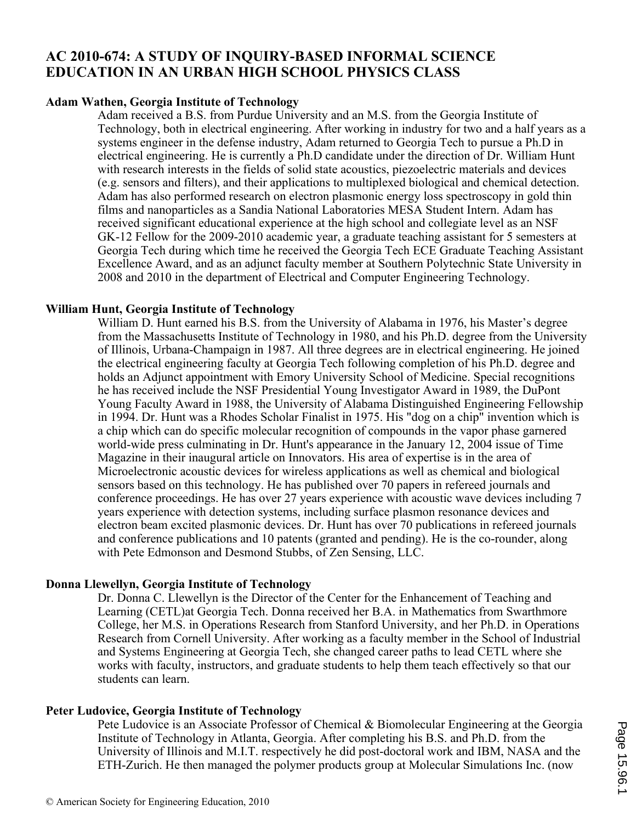## **AC 2010-674: A STUDY OF INQUIRY-BASED INFORMAL SCIENCE EDUCATION IN AN URBAN HIGH SCHOOL PHYSICS CLASS**

## **Adam Wathen, Georgia Institute of Technology**

Adam received a B.S. from Purdue University and an M.S. from the Georgia Institute of Technology, both in electrical engineering. After working in industry for two and a half years as a systems engineer in the defense industry, Adam returned to Georgia Tech to pursue a Ph.D in electrical engineering. He is currently a Ph.D candidate under the direction of Dr. William Hunt with research interests in the fields of solid state acoustics, piezoelectric materials and devices (e.g. sensors and filters), and their applications to multiplexed biological and chemical detection. Adam has also performed research on electron plasmonic energy loss spectroscopy in gold thin films and nanoparticles as a Sandia National Laboratories MESA Student Intern. Adam has received significant educational experience at the high school and collegiate level as an NSF GK-12 Fellow for the 2009-2010 academic year, a graduate teaching assistant for 5 semesters at Georgia Tech during which time he received the Georgia Tech ECE Graduate Teaching Assistant Excellence Award, and as an adjunct faculty member at Southern Polytechnic State University in 2008 and 2010 in the department of Electrical and Computer Engineering Technology.

#### **William Hunt, Georgia Institute of Technology**

William D. Hunt earned his B.S. from the University of Alabama in 1976, his Master's degree from the Massachusetts Institute of Technology in 1980, and his Ph.D. degree from the University of Illinois, Urbana-Champaign in 1987. All three degrees are in electrical engineering. He joined the electrical engineering faculty at Georgia Tech following completion of his Ph.D. degree and holds an Adjunct appointment with Emory University School of Medicine. Special recognitions he has received include the NSF Presidential Young Investigator Award in 1989, the DuPont Young Faculty Award in 1988, the University of Alabama Distinguished Engineering Fellowship in 1994. Dr. Hunt was a Rhodes Scholar Finalist in 1975. His "dog on a chip" invention which is a chip which can do specific molecular recognition of compounds in the vapor phase garnered world-wide press culminating in Dr. Hunt's appearance in the January 12, 2004 issue of Time Magazine in their inaugural article on Innovators. His area of expertise is in the area of Microelectronic acoustic devices for wireless applications as well as chemical and biological sensors based on this technology. He has published over 70 papers in refereed journals and conference proceedings. He has over 27 years experience with acoustic wave devices including 7 years experience with detection systems, including surface plasmon resonance devices and electron beam excited plasmonic devices. Dr. Hunt has over 70 publications in refereed journals and conference publications and 10 patents (granted and pending). He is the co-rounder, along with Pete Edmonson and Desmond Stubbs, of Zen Sensing, LLC.

## **Donna Llewellyn, Georgia Institute of Technology**

Dr. Donna C. Llewellyn is the Director of the Center for the Enhancement of Teaching and Learning (CETL)at Georgia Tech. Donna received her B.A. in Mathematics from Swarthmore College, her M.S. in Operations Research from Stanford University, and her Ph.D. in Operations Research from Cornell University. After working as a faculty member in the School of Industrial and Systems Engineering at Georgia Tech, she changed career paths to lead CETL where she works with faculty, instructors, and graduate students to help them teach effectively so that our students can learn.

#### **Peter Ludovice, Georgia Institute of Technology**

Pete Ludovice is an Associate Professor of Chemical & Biomolecular Engineering at the Georgia Institute of Technology in Atlanta, Georgia. After completing his B.S. and Ph.D. from the University of Illinois and M.I.T. respectively he did post-doctoral work and IBM, NASA and the ETH-Zurich. He then managed the polymer products group at Molecular Simulations Inc. (now

 $A_{\rm c}$  are a currently his in the area of molecular simulation of molecular simulation of synthetic and biological simulation of  $\alpha$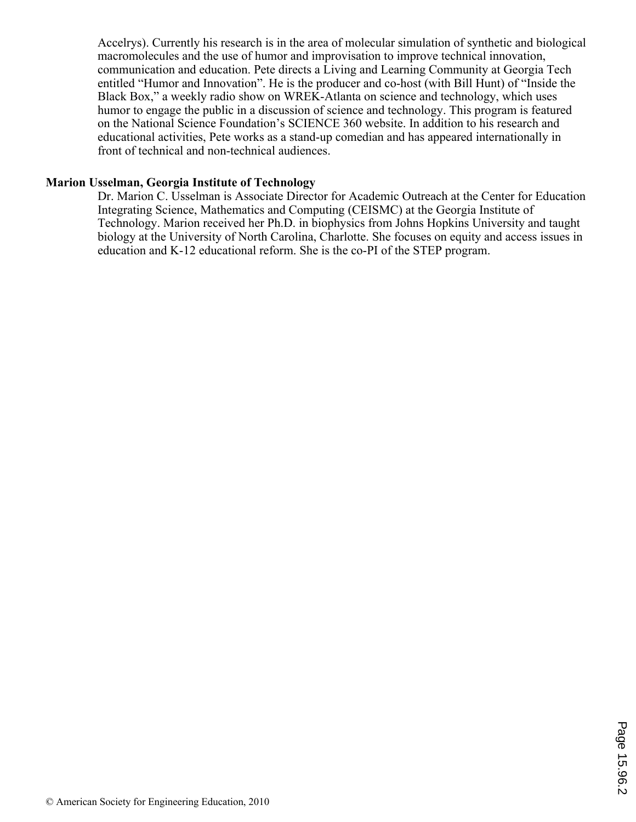Accelrys). Currently his research is in the area of molecular simulation of synthetic and biological macromolecules and the use of humor and improvisation to improve technical innovation, communication and education. Pete directs a Living and Learning Community at Georgia Tech entitled "Humor and Innovation". He is the producer and co-host (with Bill Hunt) of "Inside the Black Box," a weekly radio show on WREK-Atlanta on science and technology, which uses humor to engage the public in a discussion of science and technology. This program is featured on the National Science Foundation's SCIENCE 360 website. In addition to his research and educational activities, Pete works as a stand-up comedian and has appeared internationally in front of technical and non-technical audiences.

## **Marion Usselman, Georgia Institute of Technology**

Dr. Marion C. Usselman is Associate Director for Academic Outreach at the Center for Education Integrating Science, Mathematics and Computing (CEISMC) at the Georgia Institute of Technology. Marion received her Ph.D. in biophysics from Johns Hopkins University and taught biology at the University of North Carolina, Charlotte. She focuses on equity and access issues in education and K-12 educational reform. She is the co-PI of the STEP program.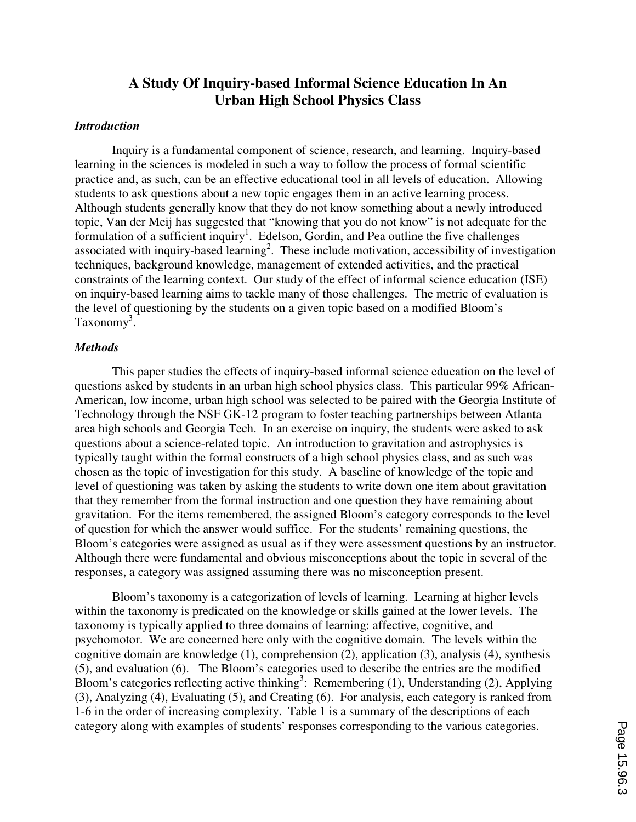# **A Study Of Inquiry-based Informal Science Education In An Urban High School Physics Class**

## *Introduction*

 Inquiry is a fundamental component of science, research, and learning. Inquiry-based learning in the sciences is modeled in such a way to follow the process of formal scientific practice and, as such, can be an effective educational tool in all levels of education. Allowing students to ask questions about a new topic engages them in an active learning process. Although students generally know that they do not know something about a newly introduced topic, Van der Meij has suggested that "knowing that you do not know" is not adequate for the formulation of a sufficient inquiry<sup>1</sup>. Edelson, Gordin, and Pea outline the five challenges associated with inquiry-based learning<sup>2</sup>. These include motivation, accessibility of investigation techniques, background knowledge, management of extended activities, and the practical constraints of the learning context. Our study of the effect of informal science education (ISE) on inquiry-based learning aims to tackle many of those challenges. The metric of evaluation is the level of questioning by the students on a given topic based on a modified Bloom's Taxonomy<sup>3</sup>.

#### *Methods*

 This paper studies the effects of inquiry-based informal science education on the level of questions asked by students in an urban high school physics class. This particular 99% African-American, low income, urban high school was selected to be paired with the Georgia Institute of Technology through the NSF GK-12 program to foster teaching partnerships between Atlanta area high schools and Georgia Tech. In an exercise on inquiry, the students were asked to ask questions about a science-related topic. An introduction to gravitation and astrophysics is typically taught within the formal constructs of a high school physics class, and as such was chosen as the topic of investigation for this study. A baseline of knowledge of the topic and level of questioning was taken by asking the students to write down one item about gravitation that they remember from the formal instruction and one question they have remaining about gravitation. For the items remembered, the assigned Bloom's category corresponds to the level of question for which the answer would suffice. For the students' remaining questions, the Bloom's categories were assigned as usual as if they were assessment questions by an instructor. Although there were fundamental and obvious misconceptions about the topic in several of the responses, a category was assigned assuming there was no misconception present.

 Bloom's taxonomy is a categorization of levels of learning. Learning at higher levels within the taxonomy is predicated on the knowledge or skills gained at the lower levels. The taxonomy is typically applied to three domains of learning: affective, cognitive, and psychomotor. We are concerned here only with the cognitive domain. The levels within the cognitive domain are knowledge (1), comprehension (2), application (3), analysis (4), synthesis (5), and evaluation (6). The Bloom's categories used to describe the entries are the modified Bloom's categories reflecting active thinking<sup>3</sup>: Remembering (1), Understanding (2), Applying (3), Analyzing (4), Evaluating (5), and Creating (6). For analysis, each category is ranked from 1-6 in the order of increasing complexity. Table 1 is a summary of the descriptions of each category along with examples of students' responses corresponding to the various categories.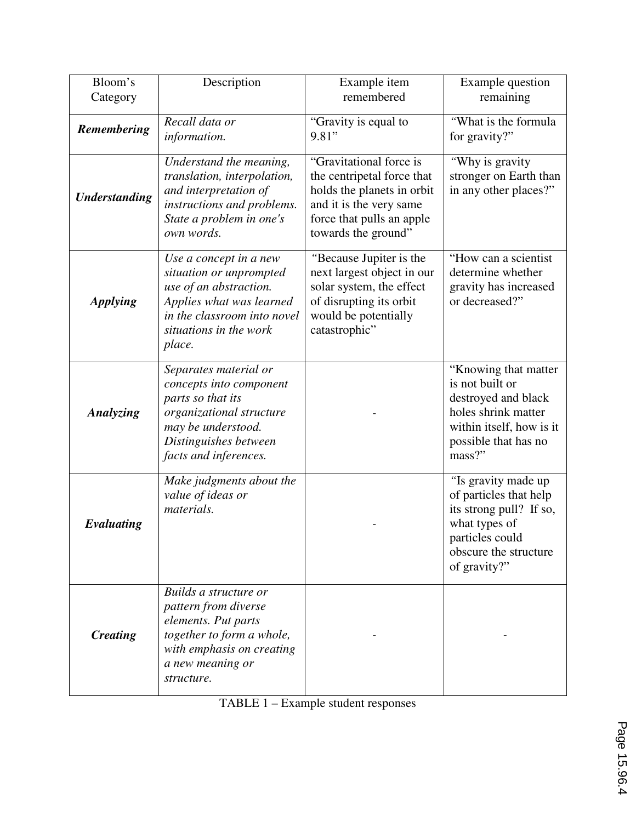| Bloom's<br>Category  | Description                                                                                                                                                                | Example item<br>remembered                                                                                                                                         | Example question<br>remaining                                                                                                                         |
|----------------------|----------------------------------------------------------------------------------------------------------------------------------------------------------------------------|--------------------------------------------------------------------------------------------------------------------------------------------------------------------|-------------------------------------------------------------------------------------------------------------------------------------------------------|
| Remembering          | Recall data or<br>information.                                                                                                                                             | "Gravity is equal to<br>9.81"                                                                                                                                      | "What is the formula<br>for gravity?"                                                                                                                 |
| <b>Understanding</b> | Understand the meaning,<br>translation, interpolation,<br>and interpretation of<br>instructions and problems.<br>State a problem in one's<br>own words.                    | "Gravitational force is<br>the centripetal force that<br>holds the planets in orbit<br>and it is the very same<br>force that pulls an apple<br>towards the ground" | "Why is gravity<br>stronger on Earth than<br>in any other places?"                                                                                    |
| <b>Applying</b>      | Use a concept in a new<br>situation or unprompted<br>use of an abstraction.<br>Applies what was learned<br>in the classroom into novel<br>situations in the work<br>place. | "Because Jupiter is the<br>next largest object in our<br>solar system, the effect<br>of disrupting its orbit<br>would be potentially<br>catastrophic"              | "How can a scientist"<br>determine whether<br>gravity has increased<br>or decreased?"                                                                 |
| Analyzing            | Separates material or<br>concepts into component<br>parts so that its<br>organizational structure<br>may be understood.<br>Distinguishes between<br>facts and inferences.  |                                                                                                                                                                    | "Knowing that matter<br>is not built or<br>destroyed and black<br>holes shrink matter<br>within itself, how is it<br>possible that has no<br>mass?"   |
| Evaluating           | Make judgments about the<br>value of ideas or<br>materials.                                                                                                                |                                                                                                                                                                    | "Is gravity made up<br>of particles that help<br>its strong pull? If so,<br>what types of<br>particles could<br>obscure the structure<br>of gravity?" |
| <b>Creating</b>      | Builds a structure or<br>pattern from diverse<br>elements. Put parts<br>together to form a whole,<br>with emphasis on creating<br>a new meaning or<br>structure.           |                                                                                                                                                                    |                                                                                                                                                       |

| TABLE 1 – Example student responses |
|-------------------------------------|
|-------------------------------------|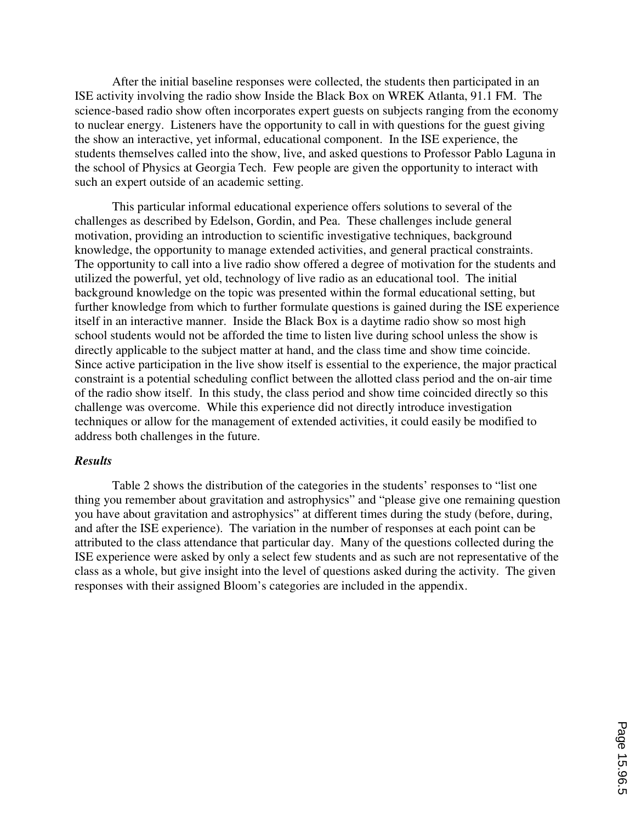After the initial baseline responses were collected, the students then participated in an ISE activity involving the radio show Inside the Black Box on WREK Atlanta, 91.1 FM. The science-based radio show often incorporates expert guests on subjects ranging from the economy to nuclear energy. Listeners have the opportunity to call in with questions for the guest giving the show an interactive, yet informal, educational component. In the ISE experience, the students themselves called into the show, live, and asked questions to Professor Pablo Laguna in the school of Physics at Georgia Tech. Few people are given the opportunity to interact with such an expert outside of an academic setting.

 This particular informal educational experience offers solutions to several of the challenges as described by Edelson, Gordin, and Pea. These challenges include general motivation, providing an introduction to scientific investigative techniques, background knowledge, the opportunity to manage extended activities, and general practical constraints. The opportunity to call into a live radio show offered a degree of motivation for the students and utilized the powerful, yet old, technology of live radio as an educational tool. The initial background knowledge on the topic was presented within the formal educational setting, but further knowledge from which to further formulate questions is gained during the ISE experience itself in an interactive manner. Inside the Black Box is a daytime radio show so most high school students would not be afforded the time to listen live during school unless the show is directly applicable to the subject matter at hand, and the class time and show time coincide. Since active participation in the live show itself is essential to the experience, the major practical constraint is a potential scheduling conflict between the allotted class period and the on-air time of the radio show itself. In this study, the class period and show time coincided directly so this challenge was overcome. While this experience did not directly introduce investigation techniques or allow for the management of extended activities, it could easily be modified to address both challenges in the future.

#### *Results*

 Table 2 shows the distribution of the categories in the students' responses to "list one thing you remember about gravitation and astrophysics" and "please give one remaining question you have about gravitation and astrophysics" at different times during the study (before, during, and after the ISE experience). The variation in the number of responses at each point can be attributed to the class attendance that particular day. Many of the questions collected during the ISE experience were asked by only a select few students and as such are not representative of the class as a whole, but give insight into the level of questions asked during the activity. The given responses with their assigned Bloom's categories are included in the appendix.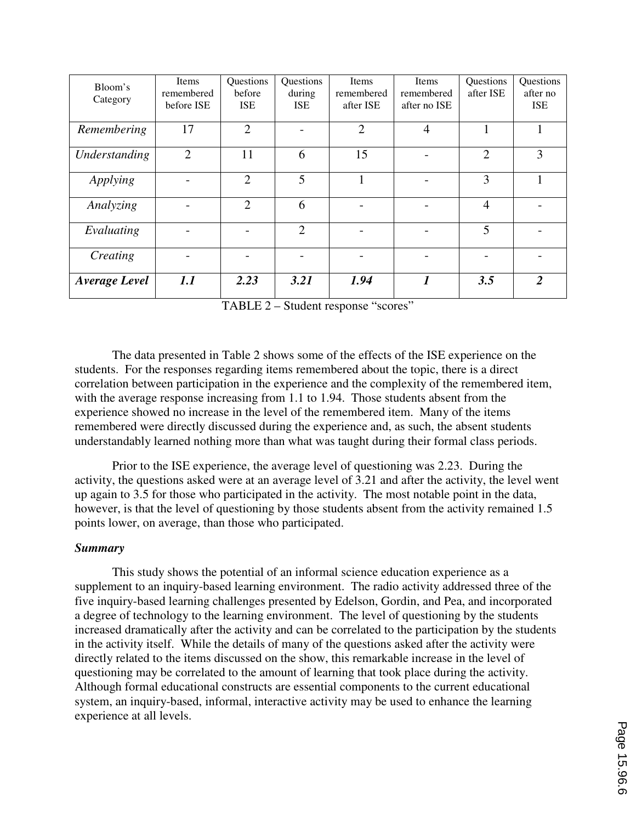| Bloom's              | Items          | Questions      | Questions  | Items          | Items          | Questions      | Questions      |
|----------------------|----------------|----------------|------------|----------------|----------------|----------------|----------------|
|                      | remembered     | hefore         | during     | remembered     | remembered     | after ISE      | after no       |
| Category             | before ISE     | <b>ISE</b>     | <b>ISE</b> | after ISE      | after no ISE   |                | <b>ISE</b>     |
|                      |                |                |            |                |                |                |                |
| Remembering          | 17             | $\overline{2}$ |            | $\overline{2}$ | $\overline{4}$ |                |                |
|                      |                |                |            |                |                |                |                |
| Understanding        | $\overline{2}$ | 11             | 6          | 15             |                | $\overline{2}$ | 3              |
|                      |                |                |            |                |                |                |                |
| Applying             |                | $\overline{2}$ | 5          |                |                | 3              |                |
|                      |                |                |            |                |                |                |                |
| Analyzing            |                | $\overline{2}$ | 6          |                |                | $\overline{4}$ |                |
|                      |                |                |            |                |                |                |                |
| Evaluating           |                |                | 2          |                |                | 5              |                |
|                      |                |                |            |                |                |                |                |
| Creating             |                |                |            |                |                |                |                |
|                      |                |                |            |                |                |                |                |
| <b>Average Level</b> | 1.1            | 2.23           | 3.21       | 1.94           | 1              | 3.5            | $\overline{2}$ |
|                      |                |                |            |                |                |                |                |

TABLE 2 – Student response "scores"

 The data presented in Table 2 shows some of the effects of the ISE experience on the students. For the responses regarding items remembered about the topic, there is a direct correlation between participation in the experience and the complexity of the remembered item, with the average response increasing from 1.1 to 1.94. Those students absent from the experience showed no increase in the level of the remembered item. Many of the items remembered were directly discussed during the experience and, as such, the absent students understandably learned nothing more than what was taught during their formal class periods.

 Prior to the ISE experience, the average level of questioning was 2.23. During the activity, the questions asked were at an average level of 3.21 and after the activity, the level went up again to 3.5 for those who participated in the activity. The most notable point in the data, however, is that the level of questioning by those students absent from the activity remained 1.5 points lower, on average, than those who participated.

#### *Summary*

 This study shows the potential of an informal science education experience as a supplement to an inquiry-based learning environment. The radio activity addressed three of the five inquiry-based learning challenges presented by Edelson, Gordin, and Pea, and incorporated a degree of technology to the learning environment. The level of questioning by the students increased dramatically after the activity and can be correlated to the participation by the students in the activity itself. While the details of many of the questions asked after the activity were directly related to the items discussed on the show, this remarkable increase in the level of questioning may be correlated to the amount of learning that took place during the activity. Although formal educational constructs are essential components to the current educational system, an inquiry-based, informal, interactive activity may be used to enhance the learning experience at all levels.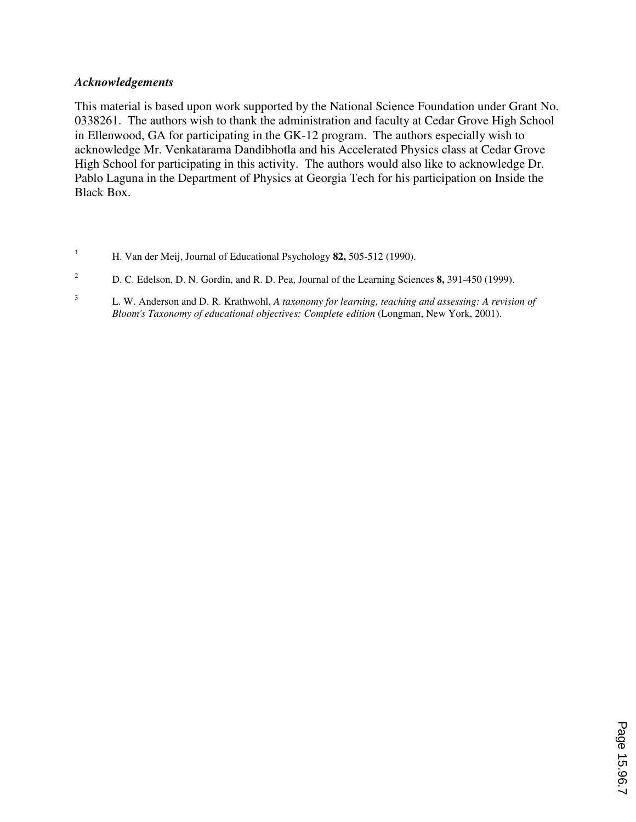## *Acknowledgements*

This material is based upon work supported by the National Science Foundation under Grant No. 0338261. The authors wish to thank the administration and faculty at Cedar Grove High School in Ellenwood, GA for participating in the GK-12 program. The authors especially wish to acknowledge Mr. Venkatarama Dandibhotla and his Accelerated Physics class at Cedar Grove High School for participating in this activity. The authors would also like to acknowledge Dr. Pablo Laguna in the Department of Physics at Georgia Tech for his participation on Inside the Black Box.

- <sup>1</sup> H. Van der Meij, Journal of Educational Psychology **82,** 505-512 (1990).
- <sup>2</sup> D. C. Edelson, D. N. Gordin, and R. D. Pea, Journal of the Learning Sciences **8**, 391-450 (1999).
- <sup>3</sup>L. W. Anderson and D. R. Krathwohl, *A taxonomy for learning, teaching and assessing: A revision of Bloom's Taxonomy of educational objectives: Complete edition* (Longman, New York, 2001).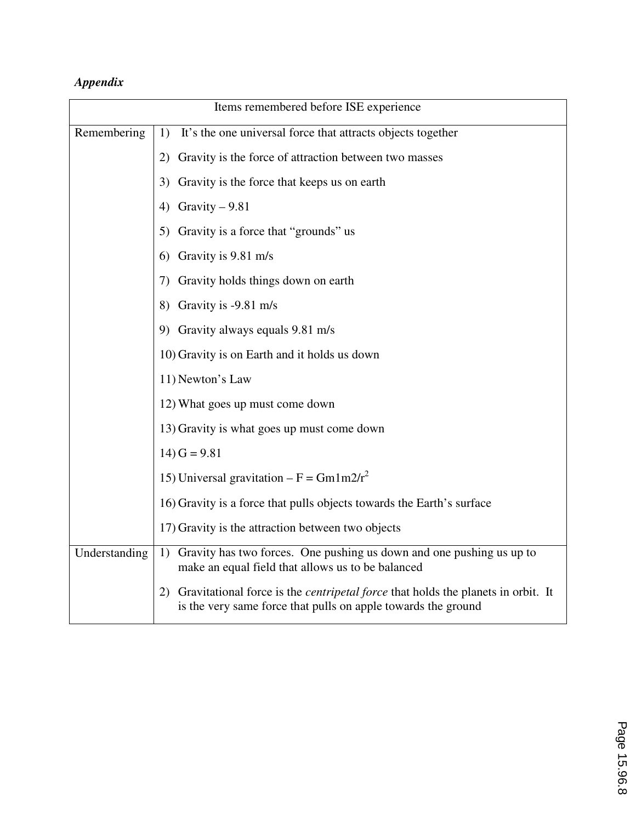# *Appendix*

| Items remembered before ISE experience |                                                                                                                                                             |  |
|----------------------------------------|-------------------------------------------------------------------------------------------------------------------------------------------------------------|--|
| Remembering                            | It's the one universal force that attracts objects together<br>1)                                                                                           |  |
|                                        | 2) Gravity is the force of attraction between two masses                                                                                                    |  |
|                                        | Gravity is the force that keeps us on earth<br>3)                                                                                                           |  |
|                                        | 4) Gravity $-9.81$                                                                                                                                          |  |
|                                        | 5) Gravity is a force that "grounds" us                                                                                                                     |  |
|                                        | 6) Gravity is $9.81 \text{ m/s}$                                                                                                                            |  |
|                                        | Gravity holds things down on earth<br>7)                                                                                                                    |  |
|                                        | 8) Gravity is $-9.81$ m/s                                                                                                                                   |  |
|                                        | 9) Gravity always equals 9.81 m/s                                                                                                                           |  |
|                                        | 10) Gravity is on Earth and it holds us down                                                                                                                |  |
|                                        | 11) Newton's Law                                                                                                                                            |  |
|                                        | 12) What goes up must come down                                                                                                                             |  |
|                                        | 13) Gravity is what goes up must come down                                                                                                                  |  |
|                                        | $14) G = 9.81$                                                                                                                                              |  |
|                                        | 15) Universal gravitation – $F = Gm1m2/r^2$                                                                                                                 |  |
|                                        | 16) Gravity is a force that pulls objects towards the Earth's surface                                                                                       |  |
|                                        | 17) Gravity is the attraction between two objects                                                                                                           |  |
| Understanding                          | Gravity has two forces. One pushing us down and one pushing us up to<br>1)<br>make an equal field that allows us to be balanced                             |  |
|                                        | 2) Gravitational force is the <i>centripetal force</i> that holds the planets in orbit. It<br>is the very same force that pulls on apple towards the ground |  |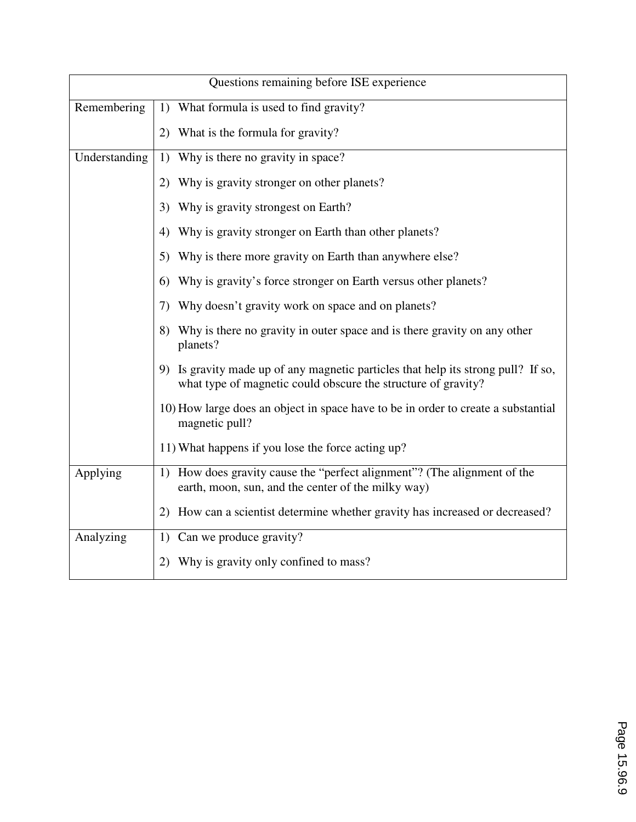| Questions remaining before ISE experience |                                                                                                                                                    |  |
|-------------------------------------------|----------------------------------------------------------------------------------------------------------------------------------------------------|--|
| Remembering                               | What formula is used to find gravity?<br>1)                                                                                                        |  |
|                                           | 2) What is the formula for gravity?                                                                                                                |  |
| Understanding                             | Why is there no gravity in space?<br>1)                                                                                                            |  |
|                                           | Why is gravity stronger on other planets?<br>2)                                                                                                    |  |
|                                           | Why is gravity strongest on Earth?<br>3)                                                                                                           |  |
|                                           | Why is gravity stronger on Earth than other planets?<br>4)                                                                                         |  |
|                                           | Why is there more gravity on Earth than anywhere else?<br>5)                                                                                       |  |
|                                           | Why is gravity's force stronger on Earth versus other planets?<br>6)                                                                               |  |
|                                           | Why doesn't gravity work on space and on planets?<br>7)                                                                                            |  |
|                                           | Why is there no gravity in outer space and is there gravity on any other<br>8)<br>planets?                                                         |  |
|                                           | 9) Is gravity made up of any magnetic particles that help its strong pull? If so,<br>what type of magnetic could obscure the structure of gravity? |  |
|                                           | 10) How large does an object in space have to be in order to create a substantial<br>magnetic pull?                                                |  |
|                                           | 11) What happens if you lose the force acting up?                                                                                                  |  |
| Applying                                  | How does gravity cause the "perfect alignment"? (The alignment of the<br>1)<br>earth, moon, sun, and the center of the milky way)                  |  |
|                                           | How can a scientist determine whether gravity has increased or decreased?<br>2)                                                                    |  |
| Analyzing                                 | Can we produce gravity?<br>1)                                                                                                                      |  |
|                                           | Why is gravity only confined to mass?<br>2)                                                                                                        |  |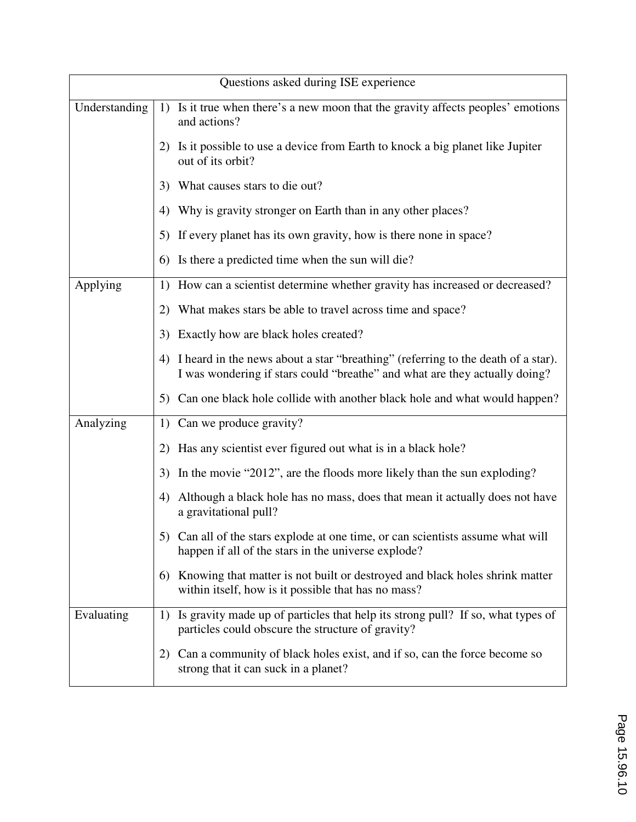| Questions asked during ISE experience |                                                                                                                                                                      |  |
|---------------------------------------|----------------------------------------------------------------------------------------------------------------------------------------------------------------------|--|
| Understanding                         | 1) Is it true when there's a new moon that the gravity affects peoples' emotions<br>and actions?                                                                     |  |
|                                       | 2) Is it possible to use a device from Earth to knock a big planet like Jupiter<br>out of its orbit?                                                                 |  |
|                                       | What causes stars to die out?<br>3)                                                                                                                                  |  |
|                                       | Why is gravity stronger on Earth than in any other places?<br>4)                                                                                                     |  |
|                                       | 5) If every planet has its own gravity, how is there none in space?                                                                                                  |  |
|                                       | Is there a predicted time when the sun will die?<br>6)                                                                                                               |  |
| Applying                              | 1) How can a scientist determine whether gravity has increased or decreased?                                                                                         |  |
|                                       | What makes stars be able to travel across time and space?<br>2)                                                                                                      |  |
|                                       | Exactly how are black holes created?<br>3)                                                                                                                           |  |
|                                       | I heard in the news about a star "breathing" (referring to the death of a star).<br>4)<br>I was wondering if stars could "breathe" and what are they actually doing? |  |
|                                       | Can one black hole collide with another black hole and what would happen?<br>5)                                                                                      |  |
| Analyzing                             | Can we produce gravity?<br>1)                                                                                                                                        |  |
|                                       | Has any scientist ever figured out what is in a black hole?<br>2)                                                                                                    |  |
|                                       | In the movie "2012", are the floods more likely than the sun exploding?<br>3)                                                                                        |  |
|                                       | Although a black hole has no mass, does that mean it actually does not have<br>4)<br>a gravitational pull?                                                           |  |
|                                       | 5) Can all of the stars explode at one time, or can scientists assume what will<br>happen if all of the stars in the universe explode?                               |  |
|                                       | Knowing that matter is not built or destroyed and black holes shrink matter<br>6)<br>within itself, how is it possible that has no mass?                             |  |
| Evaluating                            | 1) Is gravity made up of particles that help its strong pull? If so, what types of<br>particles could obscure the structure of gravity?                              |  |
|                                       | Can a community of black holes exist, and if so, can the force become so<br>2)<br>strong that it can suck in a planet?                                               |  |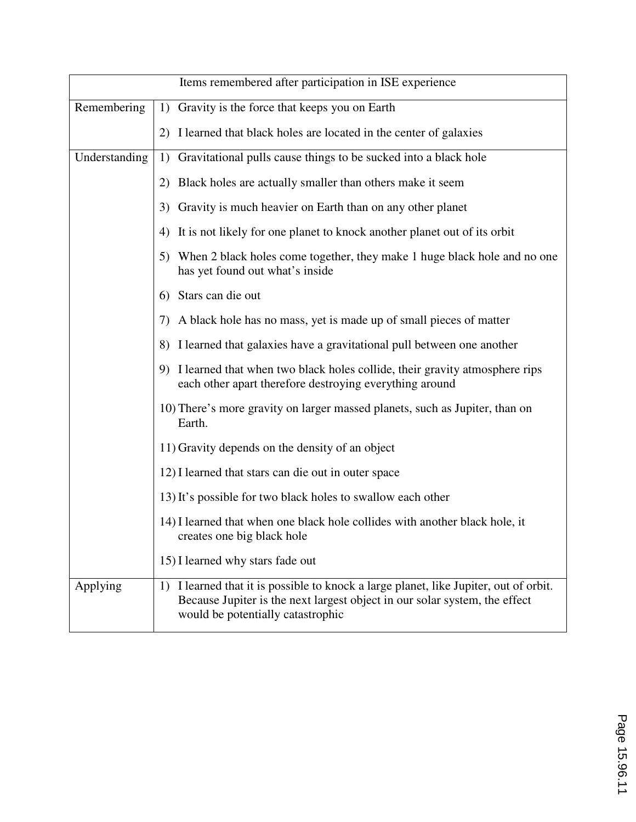| Items remembered after participation in ISE experience |                                                                                                                                                                                                          |  |  |
|--------------------------------------------------------|----------------------------------------------------------------------------------------------------------------------------------------------------------------------------------------------------------|--|--|
| Remembering                                            | 1) Gravity is the force that keeps you on Earth                                                                                                                                                          |  |  |
|                                                        | I learned that black holes are located in the center of galaxies<br>2)                                                                                                                                   |  |  |
| Understanding                                          | Gravitational pulls cause things to be sucked into a black hole<br>1)                                                                                                                                    |  |  |
|                                                        | Black holes are actually smaller than others make it seem<br>2)                                                                                                                                          |  |  |
|                                                        | Gravity is much heavier on Earth than on any other planet<br>3)                                                                                                                                          |  |  |
|                                                        | It is not likely for one planet to knock another planet out of its orbit<br>4)                                                                                                                           |  |  |
|                                                        | When 2 black holes come together, they make 1 huge black hole and no one<br>5)<br>has yet found out what's inside                                                                                        |  |  |
|                                                        | 6) Stars can die out                                                                                                                                                                                     |  |  |
|                                                        | 7) A black hole has no mass, yet is made up of small pieces of matter                                                                                                                                    |  |  |
|                                                        | 8) I learned that galaxies have a gravitational pull between one another                                                                                                                                 |  |  |
|                                                        | 9) I learned that when two black holes collide, their gravity atmosphere rips<br>each other apart therefore destroying everything around                                                                 |  |  |
|                                                        | 10) There's more gravity on larger massed planets, such as Jupiter, than on<br>Earth.                                                                                                                    |  |  |
|                                                        | 11) Gravity depends on the density of an object                                                                                                                                                          |  |  |
|                                                        | 12) I learned that stars can die out in outer space                                                                                                                                                      |  |  |
|                                                        | 13) It's possible for two black holes to swallow each other                                                                                                                                              |  |  |
|                                                        | 14) I learned that when one black hole collides with another black hole, it<br>creates one big black hole                                                                                                |  |  |
|                                                        | 15) I learned why stars fade out                                                                                                                                                                         |  |  |
| Applying                                               | 1) I learned that it is possible to knock a large planet, like Jupiter, out of orbit.<br>Because Jupiter is the next largest object in our solar system, the effect<br>would be potentially catastrophic |  |  |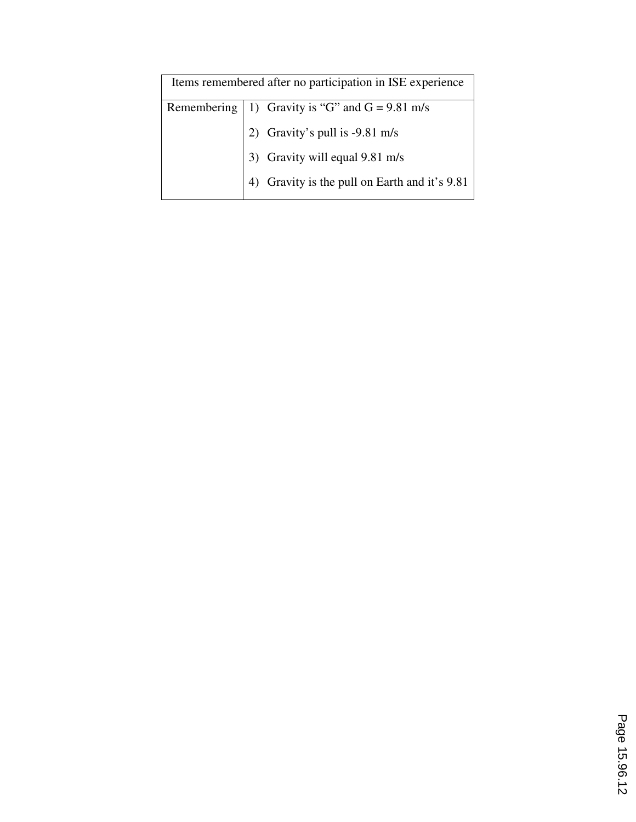| Items remembered after no participation in ISE experience |                                                    |  |
|-----------------------------------------------------------|----------------------------------------------------|--|
|                                                           | Remembering   1) Gravity is "G" and $G = 9.81$ m/s |  |
|                                                           | 2) Gravity's pull is -9.81 m/s                     |  |
|                                                           | 3) Gravity will equal 9.81 m/s                     |  |
|                                                           | Gravity is the pull on Earth and it's 9.81         |  |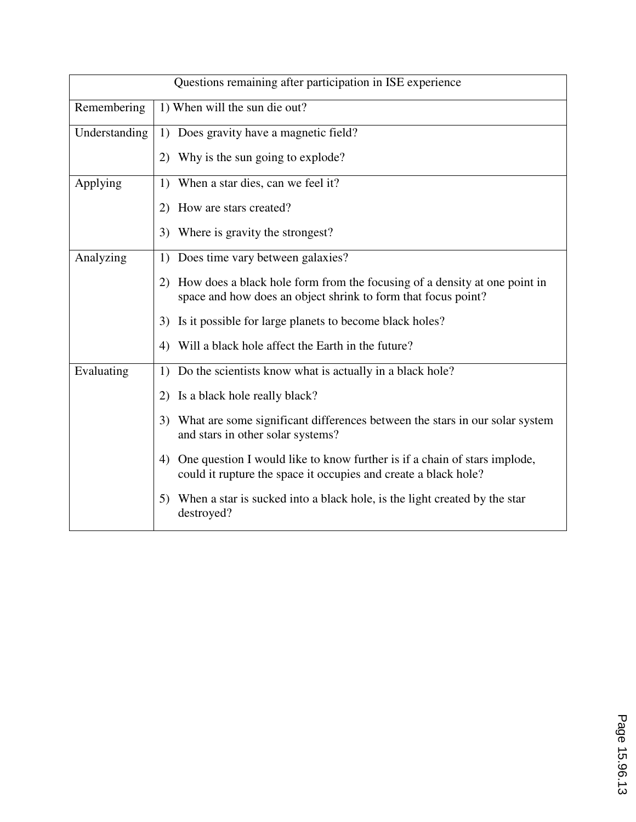| Questions remaining after participation in ISE experience |                                                                                                                                                    |  |  |
|-----------------------------------------------------------|----------------------------------------------------------------------------------------------------------------------------------------------------|--|--|
| Remembering                                               | 1) When will the sun die out?                                                                                                                      |  |  |
| Understanding                                             | 1) Does gravity have a magnetic field?                                                                                                             |  |  |
|                                                           | Why is the sun going to explode?<br>2)                                                                                                             |  |  |
| Applying                                                  | When a star dies, can we feel it?<br>1)                                                                                                            |  |  |
|                                                           | 2) How are stars created?                                                                                                                          |  |  |
|                                                           | Where is gravity the strongest?<br>3)                                                                                                              |  |  |
| Analyzing                                                 | Does time vary between galaxies?<br>1)                                                                                                             |  |  |
|                                                           | How does a black hole form from the focusing of a density at one point in<br>2)<br>space and how does an object shrink to form that focus point?   |  |  |
|                                                           | Is it possible for large planets to become black holes?<br>3)                                                                                      |  |  |
|                                                           | Will a black hole affect the Earth in the future?<br>4)                                                                                            |  |  |
| Evaluating                                                | Do the scientists know what is actually in a black hole?<br>1)                                                                                     |  |  |
|                                                           | Is a black hole really black?<br>2)                                                                                                                |  |  |
|                                                           | 3)<br>What are some significant differences between the stars in our solar system<br>and stars in other solar systems?                             |  |  |
|                                                           | One question I would like to know further is if a chain of stars implode,<br>4)<br>could it rupture the space it occupies and create a black hole? |  |  |
|                                                           | When a star is sucked into a black hole, is the light created by the star<br>5)<br>destroyed?                                                      |  |  |